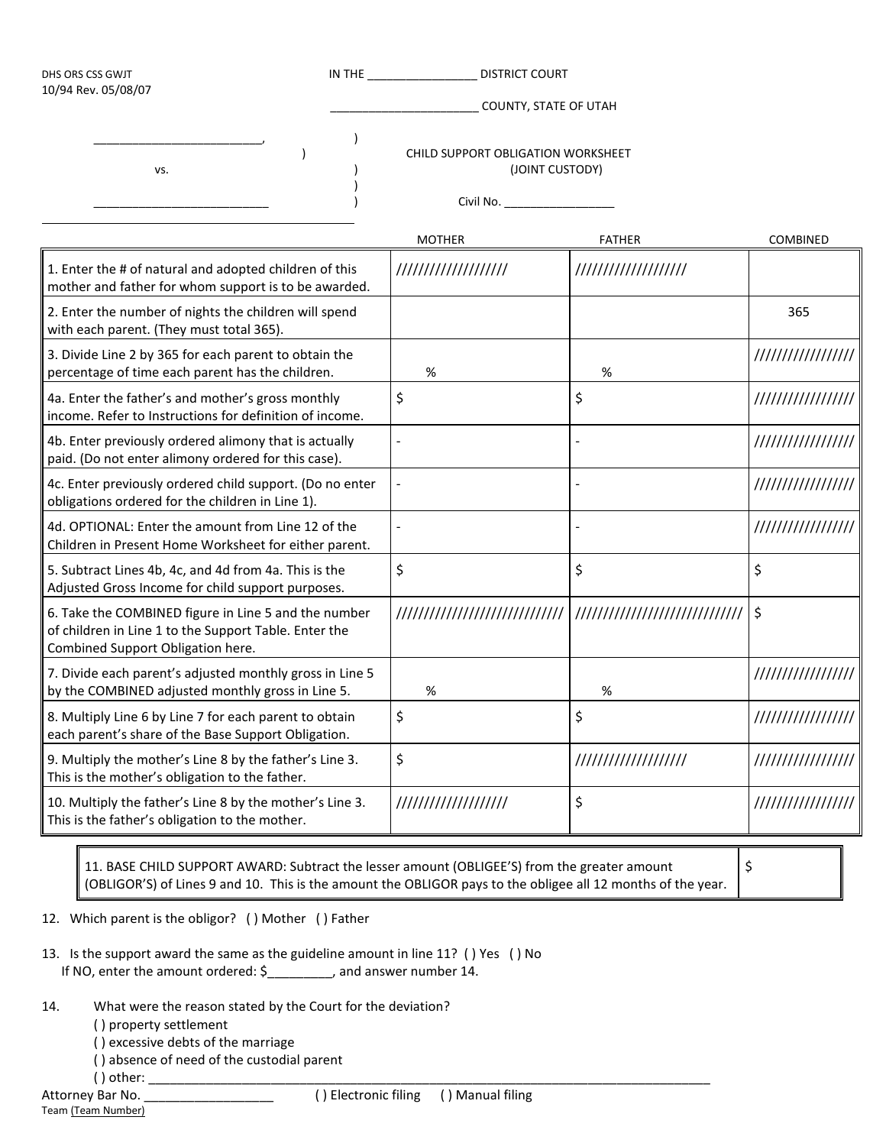| <b>DISTRICT COURT</b><br>DHS ORS CSS GWJT<br>10/94 Rev. 05/08/07                                               |                                |                      |                                                                    |  |
|----------------------------------------------------------------------------------------------------------------|--------------------------------|----------------------|--------------------------------------------------------------------|--|
|                                                                                                                | COUNTY, STATE OF UTAH          |                      |                                                                    |  |
|                                                                                                                |                                |                      |                                                                    |  |
|                                                                                                                | <b>MOTHER</b>                  | <b>FATHER</b>        | <b>COMBINED</b>                                                    |  |
| 1. Enter the # of natural and adopted children of this<br>mother and father for whom support is to be awarded. | ///////////////////            | //////////////////// |                                                                    |  |
| 2. Enter the number of nights the children will spend                                                          |                                |                      | 365                                                                |  |
| 3. Divide Line 2 by 365 for each parent to obtain the<br>percentage of time each parent has the children.      | %                              | %                    | /////////////////                                                  |  |
| 4a. Enter the father's and mother's gross monthly<br>income. Refer to Instructions for definition of income.   | \$                             | \$                   | /////////////////                                                  |  |
| 4b. Enter previously ordered alimony that is actually<br>paid. (Do not enter alimony ordered for this case).   |                                |                      | /////////////////                                                  |  |
| 4c. Enter previously ordered child support. (Do no enter                                                       |                                |                      | /////////////////                                                  |  |
| 4d. OPTIONAL: Enter the amount from Line 12 of the<br>Children in Present Home Worksheet for either parent.    |                                |                      | /////////////////                                                  |  |
| 5. Subtract Lines 4b, 4c, and 4d from 4a. This is the<br>Adjusted Gross Income for child support purposes.     | \$                             | \$                   | \$                                                                 |  |
| 6. Take the COMBINED figure in Line 5 and the number<br>of children in Line 1 to the Support Table. Enter the  | ////////////////////////////// |                      | \$                                                                 |  |
| 7. Divide each parent's adjusted monthly gross in Line 5<br>by the COMBINED adjusted monthly gross in Line 5.  | %                              | $\%$                 | /////////////////                                                  |  |
| 8. Multiply Line 6 by Line 7 for each parent to obtain<br>each parent's share of the Base Support Obligation.  | \$                             | \$                   | /////////////////                                                  |  |
| 9. Multiply the mother's Line 8 by the father's Line 3.                                                        | \$                             | ///////////////////  | /////////////////                                                  |  |
| 10. Multiply the father's Line 8 by the mother's Line 3.                                                       | ///////////////////            | \$                   | /////////////////                                                  |  |
|                                                                                                                |                                |                      | CHILD SUPPORT OBLIGATION WORKSHEET<br>(JOINT CUSTODY)<br>Civil No. |  |

11. BASE CHILD SUPPORT AWARD: Subtract the lesser amount (OBLIGEE'S) from the greater amount (OBLIGOR'S) of Lines 9 and 10. This is the amount the OBLIGOR pays to the obligee all 12 months of the year.

\$

12. Which parent is the obligor? ( ) Mother ( ) Father

| 13. Is the support award the same as the guideline amount in line 11? () Yes () No |                         |  |
|------------------------------------------------------------------------------------|-------------------------|--|
| If NO, enter the amount ordered: \$                                                | , and answer number 14. |  |

- 14. What were the reason stated by the Court for the deviation?
	- ( ) property settlement
	- ( ) excessive debts of the marriage
	- ( ) absence of need of the custodial parent
	- ( ) other:  $\overline{\phantom{a}}$